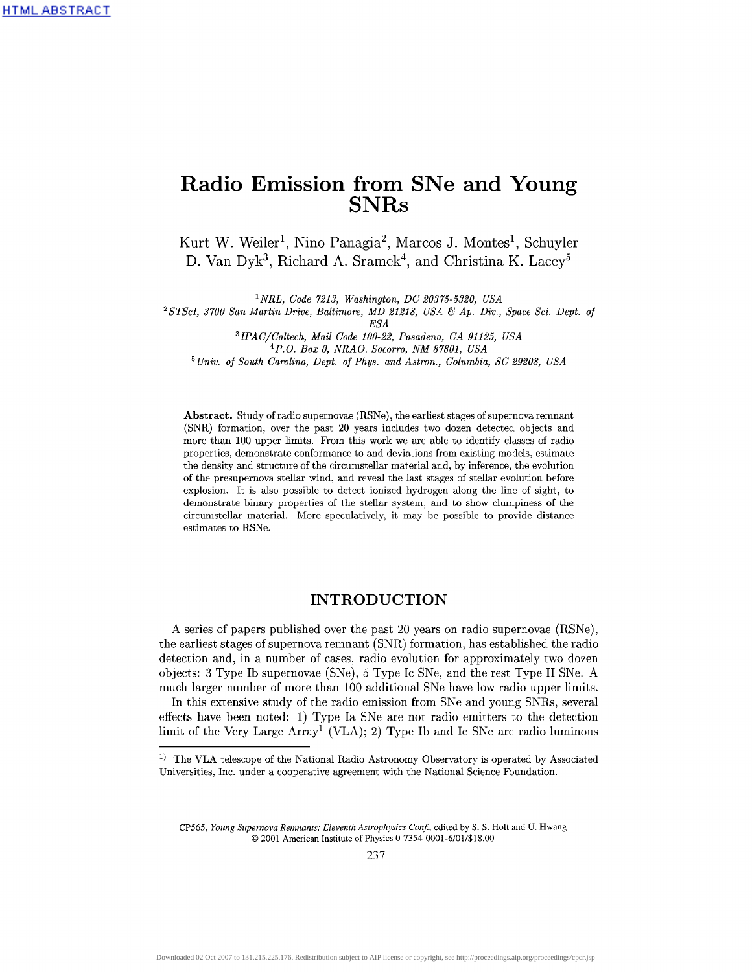# **Radio Emission from SNe and Young** SNRs

Kurt W. Weiler<sup>1</sup>, Nino Panagia<sup>2</sup>, Marcos J. Montes<sup>1</sup>, Schuyler D. Van Dyk<sup>3</sup>, Richard A. Sramek<sup>4</sup>, and Christina K. Lacey<sup>5</sup>

*<sup>1</sup>NRL, Code 7213, Washington, DC 20375-5320, USA*

*2 STScI, 3700 San Martin Drive, Baltimore, MD 21218, USA & Ap. Div., Space Sci. Dept. of*

*ESA*

*3 IPAC/Caltech, Mail Code 100-22, Pasadena, CA 91125, USA* <sup>4</sup>*P.O. Box 0, NRAO, Socorro, NM 87801, USA* 5  *Univ. of South Carolina, Dept. of Phys. and Astron., Columbia, SC 29208, USA*

**Abstract.** Study of radio supernovae (RSNe), the earliest stages of supernova remnant (SNR) formation, over the past 20 years includes two dozen detected objects and more than 100 upper limits. Prom this work we are able to identify classes of radio properties, demonstrate conformance to and deviations from existing models, estimate the density and structure of the circumstellar material and, by inference, the evolution of the presupernova stellar wind, and reveal the last stages of stellar evolution before explosion. It is also possible to detect ionized hydrogen along the line of sight, to demonstrate binary properties of the stellar system, and to show dumpiness of the circumstellar material. More speculatively, it may be possible to provide distance estimates to RSNe.

# **INTRODUCTION**

A series of papers published over the past 20 years on radio supernovae (RSNe), the earliest stages of supernova remnant (SNR) formation, has established the radio detection and, in a number of cases, radio evolution for approximately two dozen objects: 3 Type Ib supernovae (SNe), 5 Type Ic SNe, and the rest Type II SNe. A much larger number of more than 100 additional SNe have low radio upper limits.

In this extensive study of the radio emission from SNe and young SNRs, several effects have been noted: 1) Type la SNe are not radio emitters to the detection limit of the Very Large  $Array^{\tilde{1}}$  (VLA); 2) Type Ib and Ic SNe are radio luminous

<sup>&</sup>lt;sup>1)</sup> The VLA telescope of the National Radio Astronomy Observatory is operated by Associated Universities, Inc. under a cooperative agreement with the National Science Foundation.

CP565, *Young Supernova Remnants: Eleventh Astrophysics Conf.,* edited by S. S. Holt and U. Hwang © 2001 American Institute of Physics 0-7354-0001-6/017\$ 18.00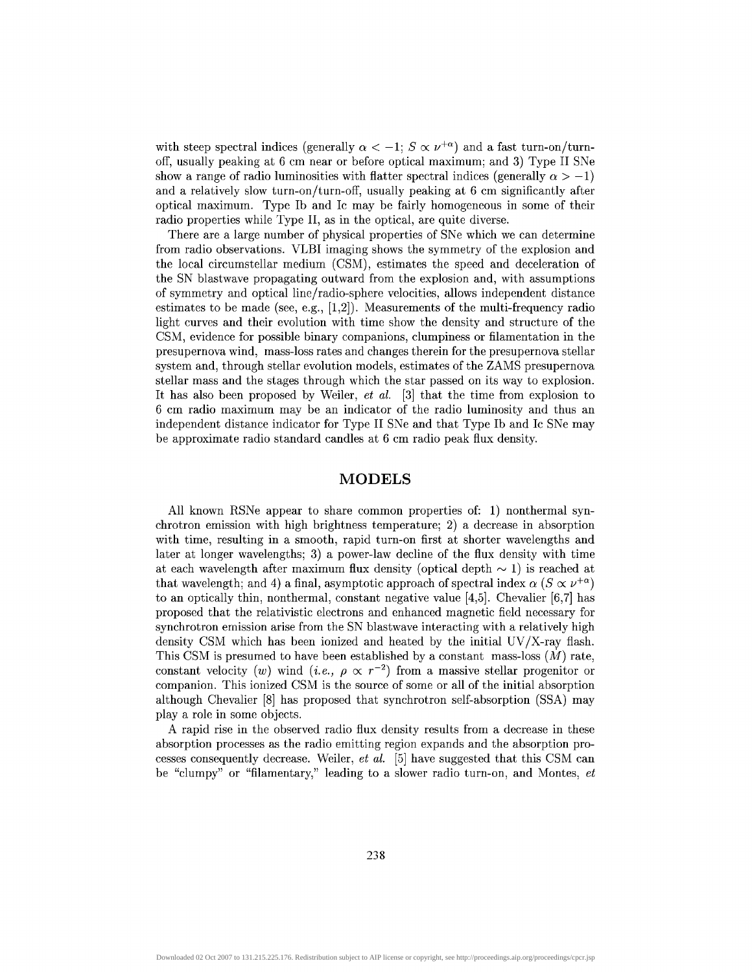with steep spectral indices (generally  $\alpha < -1$ ;  $S \propto \nu^{+\alpha}$ ) and a fast turn-on/turnoff, usually peaking at 6 cm near or before optical maximum; and 3) Type II SNe show a range of radio luminosities with flatter spectral indices (generally  $\alpha > -1$ ) and a relatively slow turn-on/turn-off, usually peaking at 6 cm significantly after optical maximum. Type Ib and Ic may be fairly homogeneous in some of their radio properties while Type II, as in the optical, are quite diverse.

There are a large number of physical properties of SNe which we can determine from radio observations. VLBI imaging shows the symmetry of the explosion and the local circumstellar medium (CSM), estimates the speed and deceleration of the SN blastwave propagating outward from the explosion and, with assumptions of symmetry and optical line/radio-sphere velocities, allows independent distance estimates to be made (see, e.g.,  $[1,2]$ ). Measurements of the multi-frequency radio light curves and their evolution with time show the density and structure of the CSM, evidence for possible binary companions, dumpiness or filamentation in the presupernova wind, mass-loss rates and changes therein for the presupernova stellar system and, through stellar evolution models, estimates of the ZAMS presupernova stellar mass and the stages through which the star passed on its way to explosion. It has also been proposed by Weiler, *et al.* [3] that the time from explosion to 6 cm radio maximum may be an indicator of the radio luminosity and thus an independent distance indicator for Type II SNe and that Type Ib and Ic SNe may be approximate radio standard candles at 6 cm radio peak flux density.

### **MODELS**

All known RSNe appear to share common properties of: 1) nonthermal synchrotron emission with high brightness temperature; 2) a decrease in absorption with time, resulting in a smooth, rapid turn-on first at shorter wavelengths and later at longer wavelengths; 3) a power-law decline of the flux density with time at each wavelength after maximum flux density (optical depth  $\sim$  1) is reached at that wavelength; and 4) a final, asymptotic approach of spectral index  $\alpha$  ( $S \propto \nu^{+\alpha}$ ) to an optically thin, nonthermal, constant negative value [4,5]. Chevalier [6,7] has proposed that the relativistic electrons and enhanced magnetic field necessary for synchrotron emission arise from the SN blastwave interacting with a relatively high density CSM which has been ionized and heated by the initial UV/X-ray flash. This CSM is presumed to have been established by a constant mass-loss  $(M)$  rate, constant velocity (*w*) wind (*i.e.*,  $\rho \propto r^{-2}$ ) from a massive stellar progenitor or companion. This ionized CSM is the source of some or all of the initial absorption although Chevalier [8] has proposed that synchrotron self-absorption (SSA) may play a role in some objects.

A rapid rise in the observed radio flux density results from a decrease in these absorption processes as the radio emitting region expands and the absorption processes consequently decrease. Weiler, *et al.* [5] have suggested that this CSM can be "clumpy" or "filamentary," leading to a slower radio turn-on, and Montes, *et*

238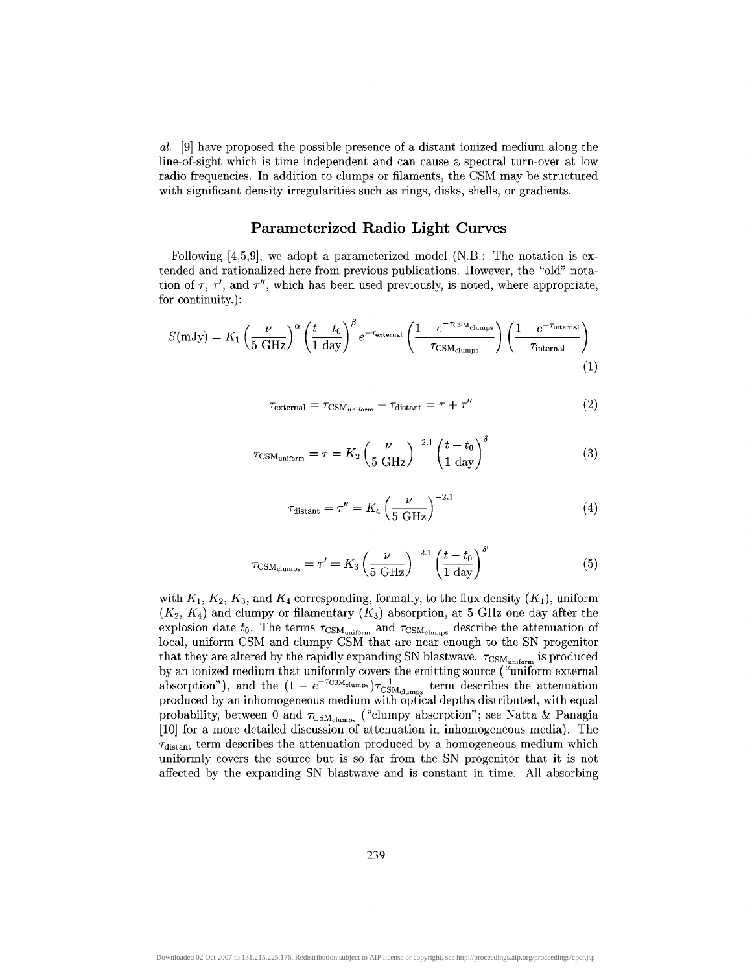*al.* [9] have proposed the possible presence of a distant ionized medium along the line-of-sight which is time independent and can cause a spectral turn-over at low radio frequencies. In addition to clumps or filaments, the CSM may be structured with significant density irregularities such as rings, disks, shells, or gradients.

# **Parameterized Radio Light Curves**

Following [4,5,9], we adopt a parameterized model (N.B.: The notation is extended and rationalized here from previous publications. However, the "old" notation of  $\tau$ ,  $\tau'$ , and  $\tau''$ , which has been used previously, is noted, where appropriate, for continuity.):

$$
S(mJy) = K_1 \left(\frac{\nu}{5 \text{ GHz}}\right)^{\alpha} \left(\frac{t - t_0}{1 \text{ day}}\right)^{\beta} e^{-\tau_{\text{external}}}\left(\frac{1 - e^{-\tau_{\text{CSM}_{\text{clumps}}}}}{\tau_{\text{CSM}_{\text{clumps}}}}\right) \left(\frac{1 - e^{-\tau_{\text{internal}}}}{\tau_{\text{internal}}}\right)
$$
\n(1)

$$
\tau_{\text{external}} = \tau_{\text{CSM}_{\text{uniform}}} + \tau_{\text{distant}} = \tau + \tau'' \tag{2}
$$

$$
\tau_{\text{CSM}_{\text{uniform}}} = \tau = K_2 \left(\frac{\nu}{5 \text{ GHz}}\right)^{-2.1} \left(\frac{t - t_0}{1 \text{ day}}\right)^{\delta} \tag{3}
$$

$$
\tau_{\text{distant}} = \tau'' = K_4 \left(\frac{\nu}{5 \text{ GHz}}\right)^{-2.1} \tag{4}
$$

 $\ddot{ }$ 

$$
\tau_{\text{CSM}_{\text{clumps}}} = \tau' = K_3 \left(\frac{\nu}{5 \text{ GHz}}\right)^{-2.1} \left(\frac{t - t_0}{1 \text{ day}}\right)^{\delta'} \tag{5}
$$

with  $K_1, K_2, K_3$ , and  $K_4$  corresponding, formally, to the flux density  $(K_1)$ , uniform  $(K_2, K_4)$  and clumpy or filamentary  $(K_3)$  absorption, at 5 GHz one day after the explosion date  $t_0$ . The terms  $\tau_{\text{CSM}_{uniform}}$  and  $\tau_{\text{CSM}_{clumps}}$  describe the attenuation of local, uniform CSM and clumpy CSM that are near enough to the SN progenitor that they are altered by the rapidly expanding SN blastwave.  $\tau_\mathrm{CSM_{uniform}}$  is produced by an ionized medium that uniformly covers the emitting source ("uniform external absorption"), and the  $(1 - e^{-\tau_{\text{CSM}}_{\text{clumps}}}) \tau_{\text{CSM}_{\text{clumps}}}^{-1}$  term describes the attenuation produced by an inhomogeneous medium with optical depths distributed, with equal probability, between 0 and  $\tau_{\text{CSM}_{\text{clumps}}}$  ("clumpy absorption"; see Natta & Panagia [10] for a more detailed discussion of attenuation in inhomogeneous media). The  $\tau_{\text{distant}}$  term describes the attenuation produced by a homogeneous medium which uniformly covers the source but is so far from the SN progenitor that it is not affected by the expanding SN blastwave and is constant in time. All absorbing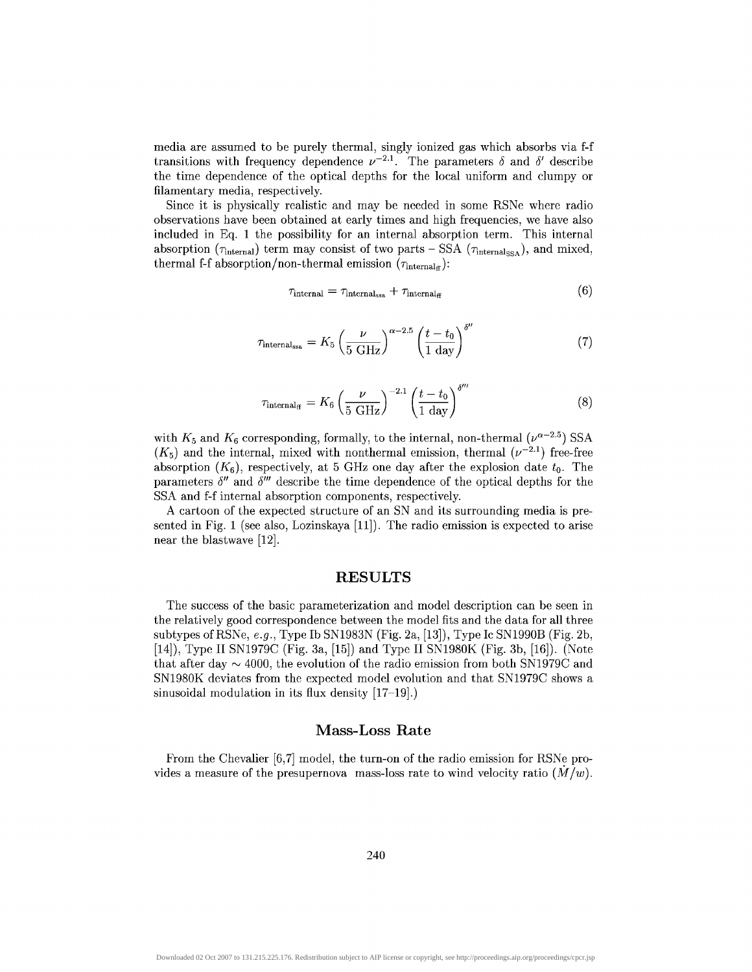media are assumed to be purely thermal, singly ionized gas which absorbs via f-f transitions with frequency dependence  $\nu^{-2.1}$ . The parameters  $\delta$  and  $\delta'$  describe the time dependence of the optical depths for the local uniform and clumpy or filamentary media, respectively.

Since it is physically realistic and may be needed in some RSNe where radio observations have been obtained at early times and high frequencies, we have also included in Eq. 1 the possibility for an internal absorption term. This internal absorption ( $\tau_{\text{internal}}$ ) term may consist of two parts – SSA ( $\tau_{\text{internal}}$ <sub>SSA</sub>), and mixed thermal f-f absorption/non-thermal emission  $(\tau_{\text{internal}_{\text{ff}}})$ :

$$
\tau_{\text{internal}} = \tau_{\text{internal}_{\text{ssa}}} + \tau_{\text{internal}_{\text{ff}}}
$$
\n(6)

$$
\tau_{\text{internal}_{\text{ssa}}} = K_5 \left(\frac{\nu}{5 \text{ GHz}}\right)^{\alpha - 2.5} \left(\frac{t - t_0}{1 \text{ day}}\right)^{\delta''} \tag{7}
$$

$$
\tau_{\text{internal}_{\text{ff}}} = K_6 \left(\frac{\nu}{5 \text{ GHz}}\right)^{-2.1} \left(\frac{t - t_0}{1 \text{ day}}\right)^{\delta^{\prime \prime \prime}} \tag{8}
$$

with  $K_5$  and  $K_6$  corresponding, formally, to the internal, non-thermal  $(\nu^{\alpha-2.5})$  SSA  $(K_5)$  and the internal, mixed with nonthermal emission, thermal  $(\nu^{-2.1})$  free-free absorption  $(K_6)$ , respectively, at 5 GHz one day after the explosion date  $t_0$ . The parameters  $\delta''$  and  $\delta'''$  describe the time dependence of the optical depths for the SSA and f-f internal absorption components, respectively.

A cartoon of the expected structure of an SN and its surrounding media is presented in Fig. 1 (see also, Lozinskaya [11]). The radio emission is expected to arise near the blastwave [12].

# **RESULTS**

The success of the basic parameterization and model description can be seen in the relatively good correspondence between the model fits and the data for all three subtypes of RSNe, *e.g.,* Type Ib SN1983N (Fig. 2a, [13]), Type Ic SN1990B (Fig. 2b, [14]), Type II SN1979C (Fig. 3a, [15]) and Type II SN1980K (Fig. 3b, [16]). (Note that after day  $\sim$  4000, the evolution of the radio emission from both SN1979C and SN1980K deviates from the expected model evolution and that SN1979C shows a sinusoidal modulation in its flux density [17-19].)

# **Mass-Loss Rate**

From the Chevalier [6,7] model, the turn-on of the radio emission for RSNe provides a measure of the presupernova mass-loss rate to wind velocity ratio *(M/w}.*

240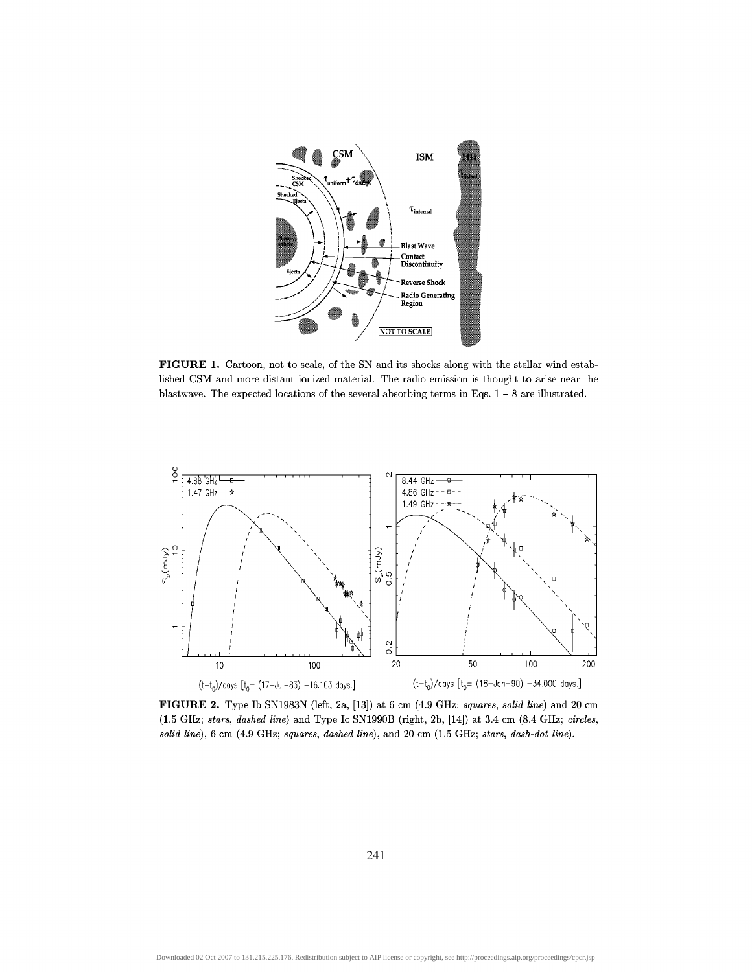

**FIGURE 1.** Cartoon, not to scale, of the SN and its shocks along with the stellar wind established CSM and more distant ionized material. The radio emission is thought to arise near the blastwave. The expected locations of the several absorbing terms in Eqs.  $1-8$  are illustrated.



**FIGURE 2.** Type Ib SN1983N (left, 2a, [13]) at 6 cm (4.9 GHz; *squares, solid line)* and 20 cm (1.5 GHz; *stars, dashed line)* and Type Ic SN1990B (right, 2b, [14]) at 3.4 cm (8.4 GHz; *circles, solid line),* 6 cm (4.9 GHz; *squares, dashed line),* and 20 cm (1.5 GHz; *stars, dash-dot line).*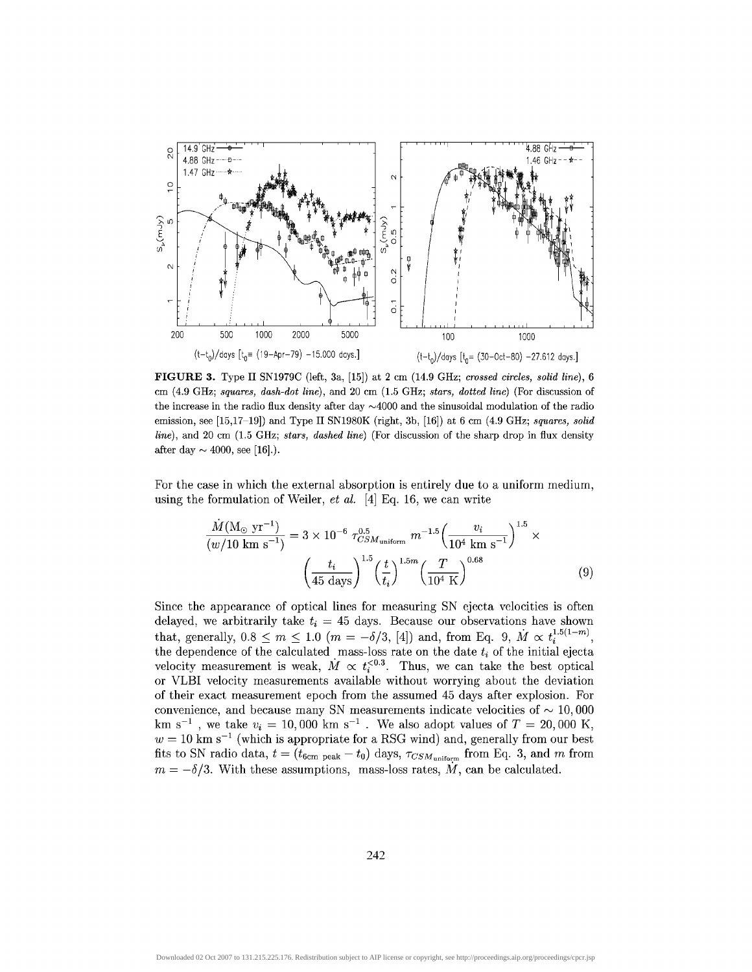

**FIGURE 3.** Type II SN1979C (left, 3a, [15]) at 2 cm (14.9 GHz; *crossed circles, solid line),* 6 cm (4.9 GHz; *squares, dash-dot line),* and 20 cm (1.5 GHz; *stars, dotted line)* (For discussion of the increase in the radio flux density after day  $\sim$ 4000 and the sinusoidal modulation of the radio emission, see [15,17-19]) and Type II SN1980K (right, 3b, [16]) at 6 cm (4.9 GHz; *squares, solid line),* and 20 cm (1.5 GHz; *stars, dashed line)* (For discussion of the sharp drop in flux density after day  $\sim$  4000, see [16].).

For the case in which the external absorption is entirely due to a uniform medium, using the formulation of Weiler, *et al.* [4] Eq. 16, we can write

$$
\frac{\dot{M}(\text{M}_{\odot} \text{ yr}^{-1})}{(w/10 \text{ km s}^{-1})} = 3 \times 10^{-6} \tau_{CSM_{\text{uniform}}}^{0.5} \ m^{-1.5} \left(\frac{v_i}{10^4 \text{ km s}^{-1}}\right)^{1.5} \times \left(\frac{t_i}{45 \text{ days}}\right)^{1.5} \left(\frac{t}{t_i}\right)^{1.5m} \left(\frac{T}{10^4 \text{ K}}\right)^{0.68} \tag{9}
$$

Since the appearance of optical lines for measuring SN ejecta velocities is often delayed, we arbitrarily take  $t_i = 45$  days. Because our observations have shown that, generally,  $0.8 \le m \le 1.0$   $(m = -\delta/3, [4])$  and, from Eq. 9,  $\dot{M} \propto t_i^{1.5(1-m)}$ , the dependence of the calculated mass-loss rate on the date  $t_i$  of the initial ejecta velocity measurement is weak,  $\dot{M} \propto t_i^{<0.3}$ . Thus, we can take the best optical or VLBI velocity measurements available without worrying about the deviation of their exact measurement epoch from the assumed 45 days after explosion. For convenience, and because many SN measurements indicate velocities of  $\sim 10,000$ km s<sup>-1</sup>, we take  $v_i = 10,000 \text{ km s}^{-1}$ . We also adopt values of  $T = 20,000 \text{ K}$ ,  $w = 10$  km s<sup>-1</sup> (which is appropriate for a RSG wind) and, generally from our best fits to SN radio data,  $t = (t_{6cm \text{ peak}} - t_0)$  days,  $\tau_{CSM_{uniform}}$  from Eq. 3, and m from  $m = -\delta/3$ . With these assumptions, mass-loss rates,  $\dot{M}$ , can be calculated.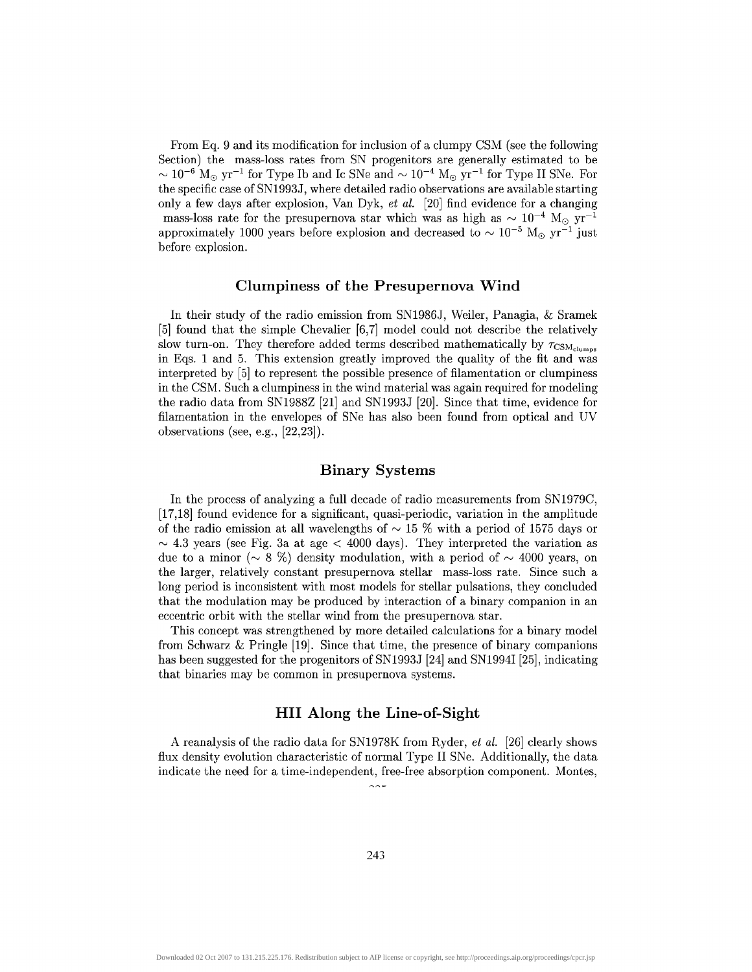From Eq. 9 and its modification for inclusion of a clumpy CSM (see the following Section) the mass-loss rates from SN progenitors are generally estimated to be  $\sim 10^{-6}$   ${\rm M}_\odot$  yr<sup>-1</sup> for Type Ib and Ic SNe and  $\sim 10^{-4}$   ${\rm M}_\odot$  yr<sup>-1</sup> for Type II SNe. For the specific case of SN1993J, where detailed radio observations are available starting only a few days after explosion, Van Dyk, *et al* [20] find evidence for a changing mass-loss rate for the presupernova star which was as high as  $\sim 10^{-4}$  M<sub>o</sub> yr<sup>-1</sup> approximately 1000 years before explosion and decreased to  $\sim 10^{-5}$  M<sub>o</sub> yr<sup>-1</sup> just before explosion.

### **dumpiness of the Presupernova Wind**

In their study of the radio emission from SN1986J, Weiler, Panagia, & Sramek [5] found that the simple Chevalier [6,7] model could not describe the relatively slow turn-on. They therefore added terms described mathematically by  $\tau_{\text{CSM}_{\text{clumps}}}$ in Eqs. 1 and 5. This extension greatly improved the quality of the fit and was interpreted by [5] to represent the possible presence of filamentation or dumpiness in the CSM. Such a dumpiness in the wind material was again required for modeling the radio data from SN1988Z [21] and SN1993J [20]. Since that time, evidence for filamentation in the envelopes of SNe has also been found from optical and UV observations (see, e.g., [22,23]).

# **Binary Systems**

In the process of analyzing a full decade of radio measurements from SN1979C, [17,18] found evidence for a significant, quasi-periodic, variation in the amplitude of the radio emission at all wavelengths of  $\sim$  15 % with a period of 1575 days or  $\sim$  4.3 years (see Fig. 3a at age  $<$  4000 days). They interpreted the variation as due to a minor ( $\sim 8\%$ ) density modulation, with a period of  $\sim 4000$  years, on the larger, relatively constant presupernova stellar mass-loss rate. Since such a long period is inconsistent with most models for stellar pulsations, they concluded that the modulation may be produced by interaction of a binary companion in an eccentric orbit with the stellar wind from the presupernova star.

This concept was strengthened by more detailed calculations for a binary model from Schwarz & Pringle [19]. Since that time, the presence of binary companions has been suggested for the progenitors of SN1993J [24] and SN1994I [25], indicating that binaries may be common in presupernova systems.

# **HII Along the Line-of-Sight**

A reanalysis of the radio data for SN1978K from Ryder, *et al.* [26] clearly shows flux density evolution characteristic of normal Type II SNe. Additionally, the data indicate the need for a time-independent, free-free absorption component. Montes,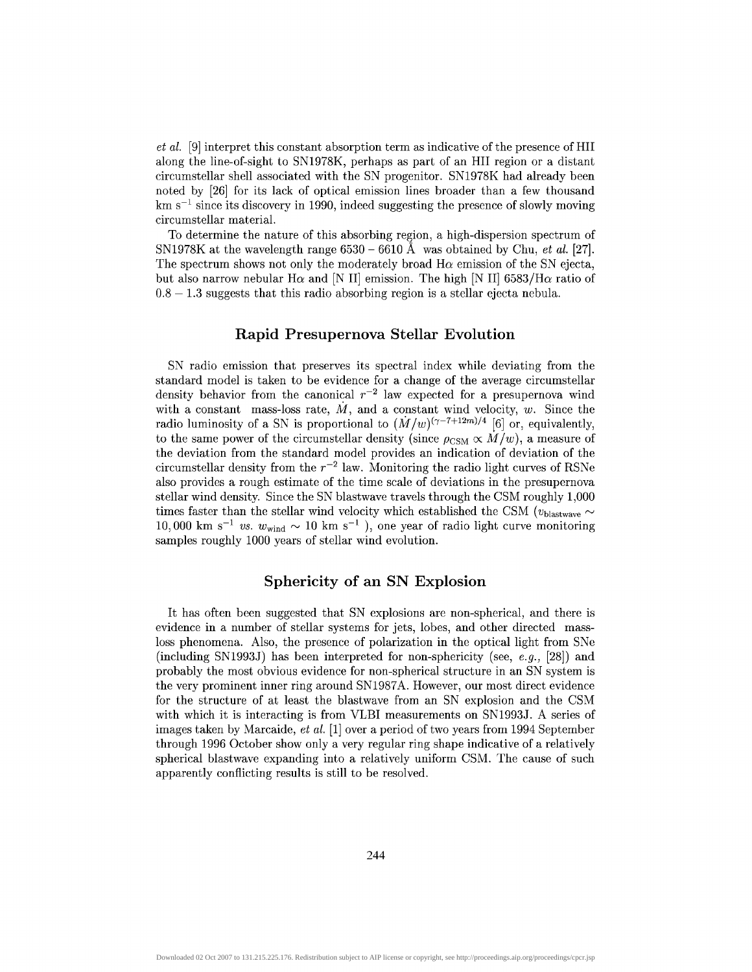*et al.* [9] interpret this constant absorption term as indicative of the presence of HII along the line-of-sight to SN1978K, perhaps as part of an HII region or a distant circumstellar shell associated with the SN progenitor. SN1978K had already been noted by [26] for its lack of optical emission lines broader than a few thousand km  $s^{-1}$  since its discovery in 1990, indeed suggesting the presence of slowly moving circumstellar material.

To determine the nature of this absorbing region, a high-dispersion spectrum of SN1978K at the wavelength range 6530 - 6610 A was obtained by Chu, *et al.* [27]. The spectrum shows not only the moderately broad  $H\alpha$  emission of the SN ejecta, but also narrow nebular H $\alpha$  and [N II] emission. The high [N II] 6583/H $\alpha$  ratio of  $0.8 - 1.3$  suggests that this radio absorbing region is a stellar ejecta nebula.

# **Rapid Presupernova Stellar Evolution**

SN radio emission that preserves its spectral index while deviating from the standard model is taken to be evidence for a change of the average circumstellar density behavior from the canonical  $r^{-2}$  law expected for a presupernova wind with a constant mass-loss rate,  $\dot{M}$ , and a constant wind velocity,  $w$ . Since the radio luminosity of a SN is proportional to  $(M/w)^{(\gamma-7+12m)/4}$  [6] or, equivalently, to the same power of the circumstellar density (since  $\rho_{\text{CSM}} \propto M/w$ ), a measure of the deviation from the standard model provides an indication of deviation of the circumstellar density from the  $r^{-2}$  law. Monitoring the radio light curves of RSNe also provides a rough estimate of the time scale of deviations in the presupernova stellar wind density. Since the SN blastwave travels through the CSM roughly 1,000 times faster than the stellar wind velocity which established the CSM ( $v_{\text{blastwave}} \sim$ 10,000 km s<sup>-1</sup> vs.  $w_{wind} \sim 10$  km s<sup>-1</sup>), one year of radio light curve monitoring samples roughly 1000 years of stellar wind evolution.

# **Sphericity of an SN Explosion**

It has often been suggested that SN explosions are non-spherical, and there is evidence in a number of stellar systems for jets, lobes, and other directed massloss phenomena. Also, the presence of polarization in the optical light from SNe (including SN1993J) has been interpreted for non-sphericity (see, *e.g.,* [28]) and probably the most obvious evidence for non-spherical structure in an SN system is the very prominent inner ring around SN1987A. However, our most direct evidence for the structure of at least the blastwave from an SN explosion and the CSM with which it is interacting is from VLBI measurements on SN1993J. A series of images taken by Marcaide, *et al.* [1] over a period of two years from 1994 September through 1996 October show only a very regular ring shape indicative of a relatively spherical blastwave expanding into a relatively uniform CSM. The cause of such apparently conflicting results is still to be resolved.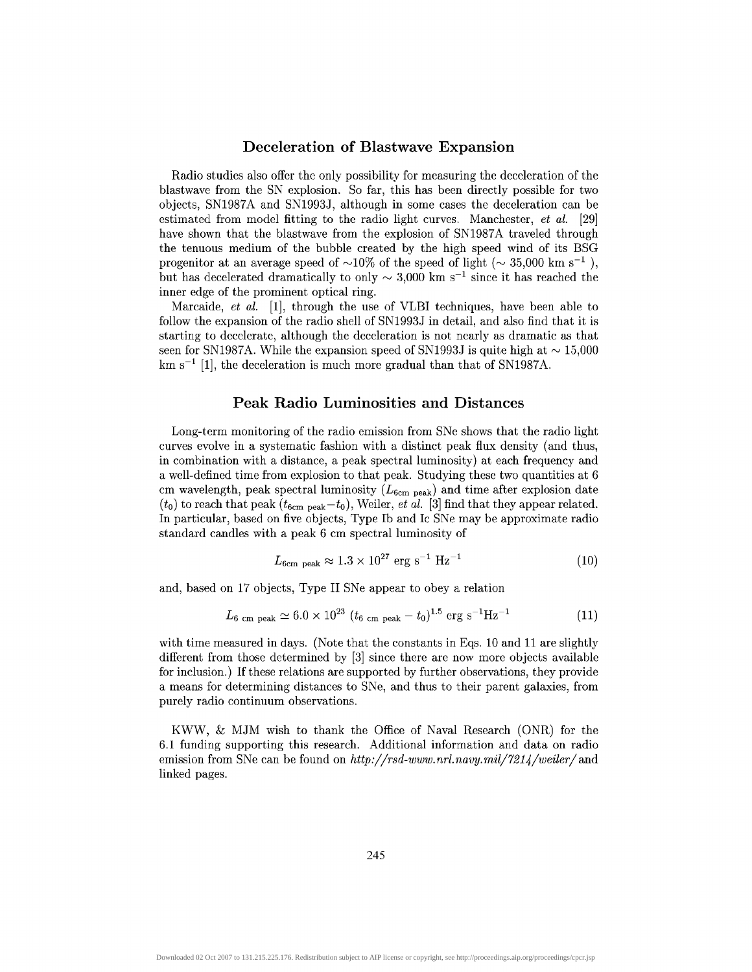## **Deceleration of Blastwave Expansion**

Radio studies also offer the only possibility for measuring the deceleration of the blastwave from the SN explosion. So far, this has been directly possible for two objects, SN1987A and SN1993J, although in some cases the deceleration can be estimated from model fitting to the radio light curves. Manchester, *et al.* [29] have shown that the blastwave from the explosion of SN1987A traveled through the tenuous medium of the bubble created by the high speed wind of its BSG progenitor at an average speed of  $\sim$ 10% of the speed of light ( $\sim$  35,000 km s<sup>-1</sup>), but has decelerated dramatically to only  $\sim 3,000$  km s<sup>-1</sup> since it has reached the inner edge of the prominent optical ring.

Marcaide, *et al.* [1], through the use of VLBI techniques, have been able to follow the expansion of the radio shell of SN1993J in detail, and also find that it is starting to decelerate, although the deceleration is not nearly as dramatic as that seen for SN1987A. While the expansion speed of SN1993J is quite high at  $\sim 15,000$  $km s^{-1}$  [1], the deceleration is much more gradual than that of SN1987A.

# **Peak Radio Luminosities and Distances**

Long-term monitoring of the radio emission from SNe shows that the radio light curves evolve in a systematic fashion with a distinct peak flux density (and thus, in combination with a distance, a peak spectral luminosity) at each frequency and a well-defined time from explosion to that peak. Studying these two quantities at 6 cm wavelength, peak spectral luminosity  $(L_{6cm\ peak})$  and time after explosion date  $(t_0)$  to reach that peak  $(t_{6cm\ peak} - t_0)$ , Weiler, *et al.* [3] find that they appear related. In particular, based on five objects, Type Ib and Ic SNe may be approximate radio standard candles with a peak 6 cm spectral luminosity of

$$
L_{6cm\ peak} \approx 1.3 \times 10^{27} \text{ erg s}^{-1} \text{ Hz}^{-1}
$$
 (10)

and, based on 17 objects, Type II SNe appear to obey a relation

$$
L_{6 \text{ cm peak}} \simeq 6.0 \times 10^{23} (t_{6 \text{ cm peak}} - t_0)^{1.5} \text{ erg s}^{-1} \text{Hz}^{-1}
$$
 (11)

with time measured in days. (Note that the constants in Eqs. 10 and 11 are slightly different from those determined by [3] since there are now more objects available for inclusion.) If these relations are supported by further observations, they provide a means for determining distances to SNe, and thus to their parent galaxies, from purely radio continuum observations.

KWW, & MJM wish to thank the Office of Naval Research (ONR) for the 6.1 funding supporting this research. Additional information and data on radio emission from SNe can be found on http://rsd-www.nrl.navy.mil/7214/weiler/and linked pages.